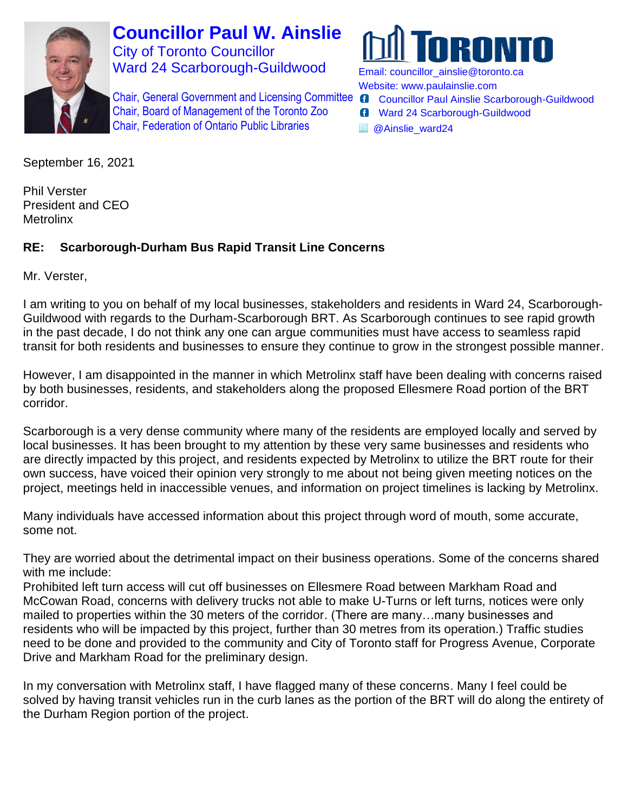

**Councillor Paul W. Ainslie** City of Toronto Councillor Ward 24 Scarborough-Guildwood

Chair, General Government and Licensing Committee Chair, Board of Management of the Toronto Zoo Chair, Federation of Ontario Public Libraries



Email: [councillor\\_ainslie@toronto.ca](mailto:councillor_ainslie@toronto.ca) Website: [www.paulainslie.com](http://www.paulainslie.com/)

- **G** Councillor Paul Ainslie Scarborough-Guildwood
- **G** Ward 24 Scarborough-Guildwood
- **B** @Ainslie\_ward24

September 16, 2021

Phil Verster President and CEO **Metrolinx** 

## **RE: Scarborough-Durham Bus Rapid Transit Line Concerns**

Mr. Verster,

I am writing to you on behalf of my local businesses, stakeholders and residents in Ward 24, Scarborough-Guildwood with regards to the Durham-Scarborough BRT. As Scarborough continues to see rapid growth in the past decade, I do not think any one can argue communities must have access to seamless rapid transit for both residents and businesses to ensure they continue to grow in the strongest possible manner.

However, I am disappointed in the manner in which Metrolinx staff have been dealing with concerns raised by both businesses, residents, and stakeholders along the proposed Ellesmere Road portion of the BRT corridor.

Scarborough is a very dense community where many of the residents are employed locally and served by local businesses. It has been brought to my attention by these very same businesses and residents who are directly impacted by this project, and residents expected by Metrolinx to utilize the BRT route for their own success, have voiced their opinion very strongly to me about not being given meeting notices on the project, meetings held in inaccessible venues, and information on project timelines is lacking by Metrolinx.

Many individuals have accessed information about this project through word of mouth, some accurate, some not.

They are worried about the detrimental impact on their business operations. Some of the concerns shared with me include:

Prohibited left turn access will cut off businesses on Ellesmere Road between Markham Road and McCowan Road, concerns with delivery trucks not able to make U-Turns or left turns, notices were only mailed to properties within the 30 meters of the corridor. (There are many…many businesses and residents who will be impacted by this project, further than 30 metres from its operation.) Traffic studies need to be done and provided to the community and City of Toronto staff for Progress Avenue, Corporate Drive and Markham Road for the preliminary design.

In my conversation with Metrolinx staff, I have flagged many of these concerns. Many I feel could be solved by having transit vehicles run in the curb lanes as the portion of the BRT will do along the entirety of the Durham Region portion of the project.